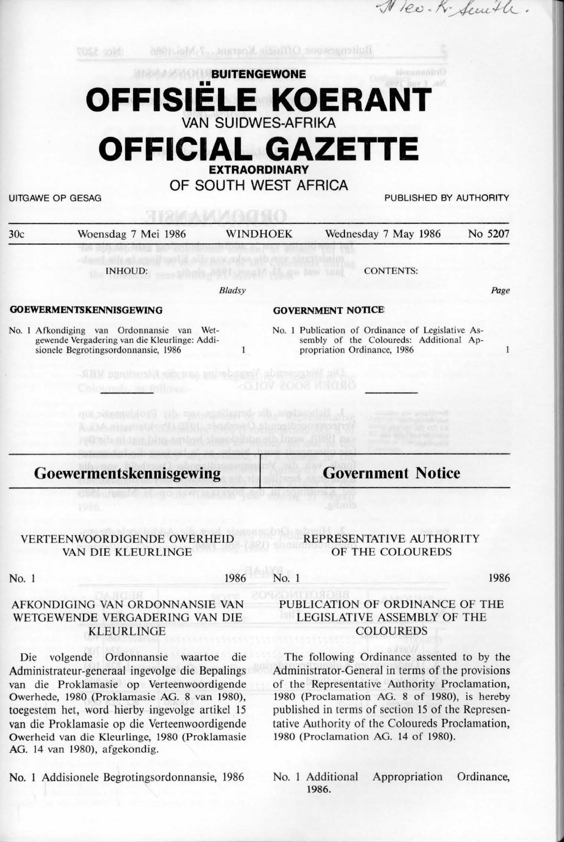## Ruinenger Official Anema, Kasari Mai. 1986 **BUITENGEWONE OFFISIELE KOERANT VAN SUIDWES-AFRIKA OFFICIAL GAZETTE EXTRAORDINARY OF SOUTH WEST AFRICA**  UITGAWE OP GESAG **PUBLISHED BY AUTHORITY** 30c Woensdag 7 Mei 1986 WINDHOEK Wednesday 7 May 1986 No 5207 INHOUD: CONTENTS: Bladsy *Page*  **GOEWERMENTSKENNISGEWING GOVERNMENT NOTICE**  No. I Afkondiging van Ordonnansie van Wet-No. I Publication of Ordinance of Legislative Asgewende Vergadering van die Kleurlinge: Addisembly of the Coloureds: Additional Apsionele Begrotingsordonnansie, 1986  $\mathbf{1}$ propriation Ordinance, 1986  $\mathbf{1}$ **Goewermentskennisgewing Government Notice**  VERTEENWOORDIGENDE OWERHEID REPRESENTATIVE AUTHORITY VAN DIE KLEURLINGE

No. 1 1986

#### No. 1

### AFKONDJGING VAN ORDONNANSIE VAN WETGEWENDE VERGADERING VAN DIE

Die volgende Ordonnansie waartoe die Administrateur-generaal ingevolge die Bepalings van die Proklamasie op Verteenwoordigende Owerhede, 1980 (Proklamasie AG. 8 van 1980), toegestem het, word hierby ingevolge artikel 15 van die Proklamasie op die Verteenwoordigende Owerheid van die Kleurlinge, 1980 (Proklamasie AG. 14 van 1980), afgekondig.

KLEURLINGE

No. 1 Addisionele Begrotingsordonnansie, 1986

# OF THE COLOUREDS

Nev. K. Sewith

PUBLICATION OF ORDINANCE OF THE LEGISLATIVE ASSEMBLY OF THE COLOUREDS

1986

The following Ordinance assented to by the Administrator-General in terms of the provisions of the Representative Authority Proclamation, 1980 (Proclamation AG. 8 of 1980), is hereby published in terms of section 15 of the Representative Authority of the Coloureds Proclamation, 1980 (Proclamation AG. 14 of 1980).

No. 1 Additional Appropriation Ordinance, 1986.